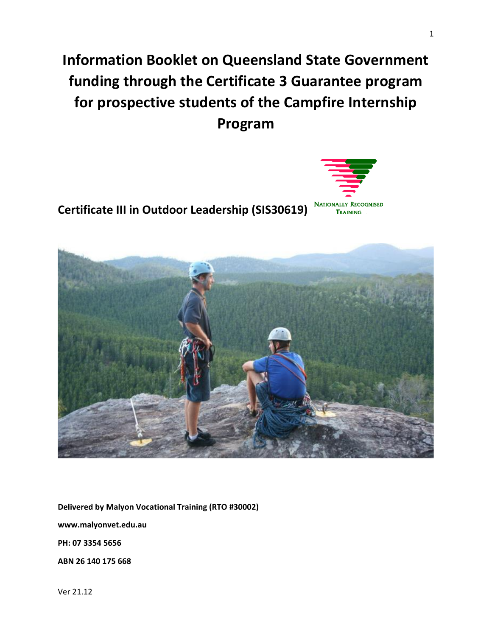**Information Booklet on Queensland State Government funding through the Certificate 3 Guarantee program for prospective students of the Campfire Internship Program**

**Certificate III in Outdoor Leadership (SIS30619)** 

**Delivered by Malyon Vocational Training (RTO #30002)**

**www.malyonvet.edu.au**

**PH: 07 3354 5656**

**ABN 26 140 175 668**

Ver 21.12



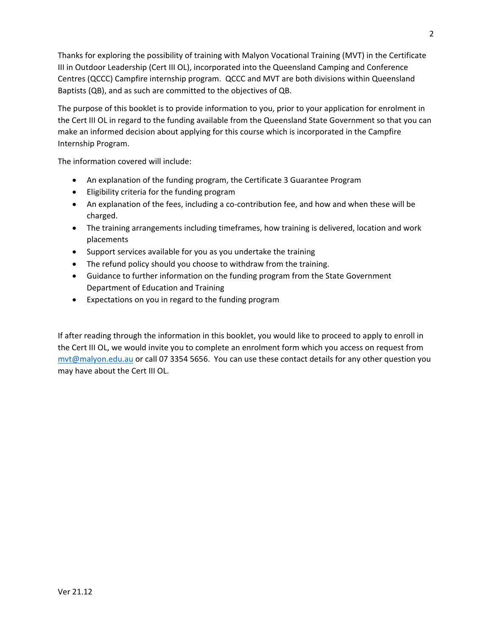Thanks for exploring the possibility of training with Malyon Vocational Training (MVT) in the Certificate III in Outdoor Leadership (Cert III OL), incorporated into the Queensland Camping and Conference Centres (QCCC) Campfire internship program. QCCC and MVT are both divisions within Queensland Baptists (QB), and as such are committed to the objectives of QB.

The purpose of this booklet is to provide information to you, prior to your application for enrolment in the Cert III OL in regard to the funding available from the Queensland State Government so that you can make an informed decision about applying for this course which is incorporated in the Campfire Internship Program.

The information covered will include:

- An explanation of the funding program, the Certificate 3 Guarantee Program
- Eligibility criteria for the funding program
- An explanation of the fees, including a co-contribution fee, and how and when these will be charged.
- The training arrangements including timeframes, how training is delivered, location and work placements
- Support services available for you as you undertake the training
- The refund policy should you choose to withdraw from the training.
- Guidance to further information on the funding program from the State Government Department of Education and Training
- Expectations on you in regard to the funding program

If after reading through the information in this booklet, you would like to proceed to apply to enroll in the Cert III OL, we would invite you to complete an enrolment form which you access on request from [mvt@malyon.edu.au](mailto:admin@trainingcollaborative.org.au) or call 07 3354 5656. You can use these contact details for any other question you may have about the Cert III OL.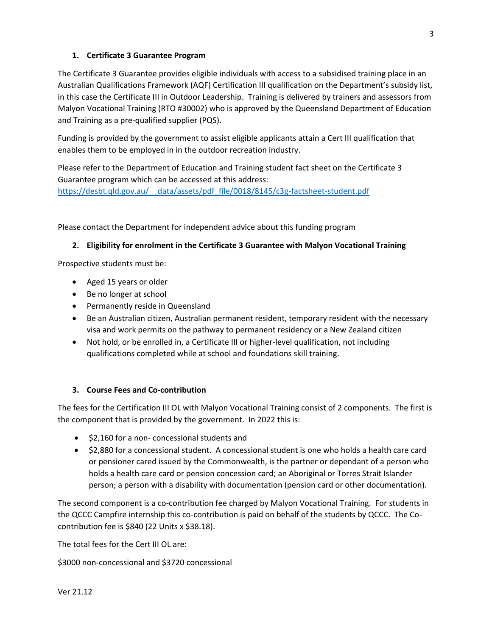# **1. Certificate 3 Guarantee Program**

The Certificate 3 Guarantee provides eligible individuals with access to a subsidised training place in an Australian Qualifications Framework (AQF) Certification III qualification on the Department's subsidy list, in this case the Certificate III in Outdoor Leadership. Training is delivered by trainers and assessors from Malyon Vocational Training (RTO #30002) who is approved by the Queensland Department of Education and Training as a pre-qualified supplier (PQS).

Funding is provided by the government to assist eligible applicants attain a Cert III qualification that enables them to be employed in in the outdoor recreation industry.

Please refer to the Department of Education and Training student fact sheet on the Certificate 3 Guarantee program which can be accessed at this address: [https://desbt.qld.gov.au/\\_\\_data/assets/pdf\\_file/0018/8145/c3g-factsheet-student.pdf](https://desbt.qld.gov.au/__data/assets/pdf_file/0018/8145/c3g-factsheet-student.pdf)

Please contact the Department for independent advice about this funding program

### **2. Eligibility for enrolment in the Certificate 3 Guarantee with Malyon Vocational Training**

Prospective students must be:

- Aged 15 years or older
- Be no longer at school
- Permanently reside in Queensland
- Be an Australian citizen, Australian permanent resident, temporary resident with the necessary visa and work permits on the pathway to permanent residency or a New Zealand citizen
- Not hold, or be enrolled in, a Certificate III or higher-level qualification, not including qualifications completed while at school and foundations skill training.

#### **3. Course Fees and Co-contribution**

The fees for the Certification III OL with Malyon Vocational Training consist of 2 components. The first is the component that is provided by the government. In 2022 this is:

- \$2,160 for a non- concessional students and
- \$2,880 for a concessional student. A concessional student is one who holds a health care card or pensioner cared issued by the Commonwealth, is the partner or dependant of a person who holds a health care card or pension concession card; an Aboriginal or Torres Strait Islander person; a person with a disability with documentation (pension card or other documentation).

The second component is a co-contribution fee charged by Malyon Vocational Training. For students in the QCCC Campfire internship this co-contribution is paid on behalf of the students by QCCC. The Cocontribution fee is \$840 (22 Units x \$38.18).

The total fees for the Cert III OL are:

\$3000 non-concessional and \$3720 concessional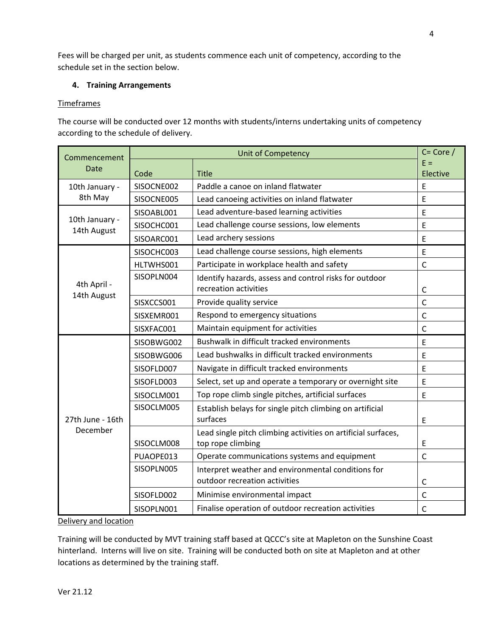Fees will be charged per unit, as students commence each unit of competency, according to the schedule set in the section below.

## **4. Training Arrangements**

## Timeframes

The course will be conducted over 12 months with students/interns undertaking units of competency according to the schedule of delivery.

| Commencement<br>Date          | <b>Unit of Competency</b> |                                                                                     | $C = Core /$ |
|-------------------------------|---------------------------|-------------------------------------------------------------------------------------|--------------|
|                               |                           |                                                                                     | $E =$        |
|                               | Code                      | <b>Title</b>                                                                        | Elective     |
| 10th January -<br>8th May     | SISOCNE002                | Paddle a canoe on inland flatwater                                                  | E            |
|                               | SISOCNE005                | Lead canoeing activities on inland flatwater                                        | E            |
| 10th January -<br>14th August | SISOABL001                | Lead adventure-based learning activities                                            | E            |
|                               | SISOCHC001                | Lead challenge course sessions, low elements                                        | E            |
|                               | SISOARC001                | Lead archery sessions                                                               | E            |
| 4th April -<br>14th August    | SISOCHC003                | Lead challenge course sessions, high elements                                       | E            |
|                               | HLTWHS001                 | Participate in workplace health and safety                                          | $\mathsf{C}$ |
|                               | SISOPLN004                | Identify hazards, assess and control risks for outdoor                              |              |
|                               |                           | recreation activities                                                               | C            |
|                               | SISXCCS001                | Provide quality service                                                             | $\mathsf{C}$ |
|                               | SISXEMR001                | Respond to emergency situations                                                     | $\mathsf{C}$ |
|                               | SISXFAC001                | Maintain equipment for activities                                                   | $\mathsf{C}$ |
| 27th June - 16th<br>December  | SISOBWG002                | Bushwalk in difficult tracked environments                                          | E            |
|                               | SISOBWG006                | Lead bushwalks in difficult tracked environments                                    | E            |
|                               | SISOFLD007                | Navigate in difficult tracked environments                                          | E            |
|                               | SISOFLD003                | Select, set up and operate a temporary or overnight site                            | E            |
|                               | SISOCLM001                | Top rope climb single pitches, artificial surfaces                                  | E            |
|                               | SISOCLM005                | Establish belays for single pitch climbing on artificial<br>surfaces                | E            |
|                               | SISOCLM008                | Lead single pitch climbing activities on artificial surfaces,<br>top rope climbing  | E            |
|                               | PUAOPE013                 | Operate communications systems and equipment                                        | $\mathsf{C}$ |
|                               | SISOPLN005                | Interpret weather and environmental conditions for<br>outdoor recreation activities | C            |
|                               | SISOFLD002                | Minimise environmental impact                                                       | $\mathsf C$  |
|                               | SISOPLN001                | Finalise operation of outdoor recreation activities                                 | $\mathsf{C}$ |

Delivery and location

Training will be conducted by MVT training staff based at QCCC's site at Mapleton on the Sunshine Coast hinterland. Interns will live on site. Training will be conducted both on site at Mapleton and at other locations as determined by the training staff.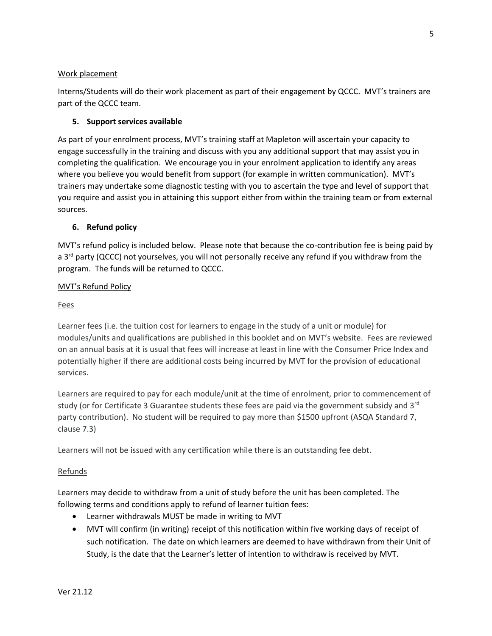#### Work placement

Interns/Students will do their work placement as part of their engagement by QCCC. MVT's trainers are part of the QCCC team.

### **5. Support services available**

As part of your enrolment process, MVT's training staff at Mapleton will ascertain your capacity to engage successfully in the training and discuss with you any additional support that may assist you in completing the qualification. We encourage you in your enrolment application to identify any areas where you believe you would benefit from support (for example in written communication). MVT's trainers may undertake some diagnostic testing with you to ascertain the type and level of support that you require and assist you in attaining this support either from within the training team or from external sources.

### **6. Refund policy**

MVT's refund policy is included below. Please note that because the co-contribution fee is being paid by a 3<sup>rd</sup> party (QCCC) not yourselves, you will not personally receive any refund if you withdraw from the program. The funds will be returned to QCCC.

### MVT's Refund Policy

#### Fees

Learner fees (i.e. the tuition cost for learners to engage in the study of a unit or module) for modules/units and qualifications are published in this booklet and on MVT's website. Fees are reviewed on an annual basis at it is usual that fees will increase at least in line with the Consumer Price Index and potentially higher if there are additional costs being incurred by MVT for the provision of educational services.

Learners are required to pay for each module/unit at the time of enrolment, prior to commencement of study (or for Certificate 3 Guarantee students these fees are paid via the government subsidy and 3<sup>rd</sup> party contribution). No student will be required to pay more than \$1500 upfront (ASQA Standard 7, clause 7.3)

Learners will not be issued with any certification while there is an outstanding fee debt.

#### Refunds

Learners may decide to withdraw from a unit of study before the unit has been completed. The following terms and conditions apply to refund of learner tuition fees:

- Learner withdrawals MUST be made in writing to MVT
- MVT will confirm (in writing) receipt of this notification within five working days of receipt of such notification. The date on which learners are deemed to have withdrawn from their Unit of Study, is the date that the Learner's letter of intention to withdraw is received by MVT.